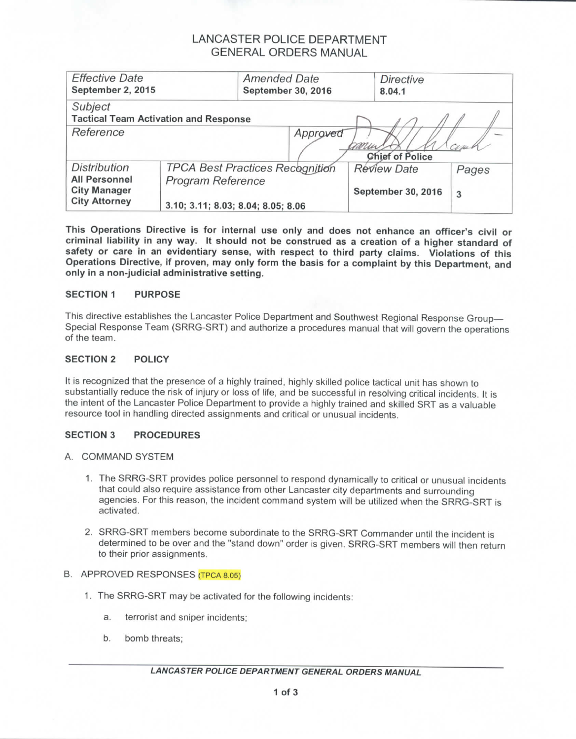## LANCASTER POLICE DEPARTMENT GENERAL ORDERS MANUAL

| <b>Effective Date</b><br>September 2, 2015                                                 |                                                                                                   | <b>Amended Date</b><br>September 30, 2016 |                                          | <b>Directive</b><br>8.04.1 |     |  |  |  |
|--------------------------------------------------------------------------------------------|---------------------------------------------------------------------------------------------------|-------------------------------------------|------------------------------------------|----------------------------|-----|--|--|--|
| Subject<br><b>Tactical Team Activation and Response</b>                                    |                                                                                                   |                                           |                                          |                            |     |  |  |  |
| Reference<br>Approved<br><b>Chief of Police</b>                                            |                                                                                                   |                                           |                                          |                            | Cim |  |  |  |
| <b>Distribution</b><br><b>All Personnel</b><br><b>City Manager</b><br><b>City Attorney</b> | <b>TPCA Best Practices Recognition</b><br>Program Reference<br>3.10; 3.11; 8.03; 8.04; 8.05; 8.06 |                                           | <b>Review Date</b><br>September 30, 2016 | Pages<br>3                 |     |  |  |  |

**This Operations Directive is for internal use only and does not enhance an officer's civil or criminal liability in any way. It should not be construed as a creation of a higher standard of safety or care in an evidentiary sense,** with **respect to third party claims. Violations of** this **Operations Directive, if proven, may only form the basis for a complaint by this Department, and only in a** non-judicial **administrative setting.**

### **SECTION 1 PURPOSE**

This directive establishes the Lancaster Police Department and Southwest Regional Response Group— Special Response Team (SRRG-SRT) and authorize a procedures manual that will govern the operations of the team.

## **SECTION 2 POLICY**

It is recognized that the presence of a highly trained, highly skilled police tactical unit has shown to substantially reduce the risk of injury or loss of life, and be successful in resolving critical incidents. It is the intent of the Lancaster Police Department to provide a highly trained and skilled SRT as a valuable resource tool in handling directed assignments and critical or unusual incidents.

#### **SECTION 3 PROCEDURES**

- A. COMMAND SYSTEM
	- 1. The SRRG-SRT provides police personnel to respond dynamically to critical or unusual incidents that could also require assistance from other Lancaster city departments and surrounding agencies. For this reason, the incident command system will be utilized when the SRRG-SRT is activated.
	- 2. SRRG-SRT members become subordinate to the SRRG-SRT Commander until the incident is determined to be over and the "stand down" order is given. SRRG-SRT members will then return to their prior assignments.

#### B. APPROVED RESPONSES (TPCA 8.05)

- 1. The SRRG-SRT may be activated for the following incidents:
	- a. terrorist and sniper incidents;
	- b. bomb threats;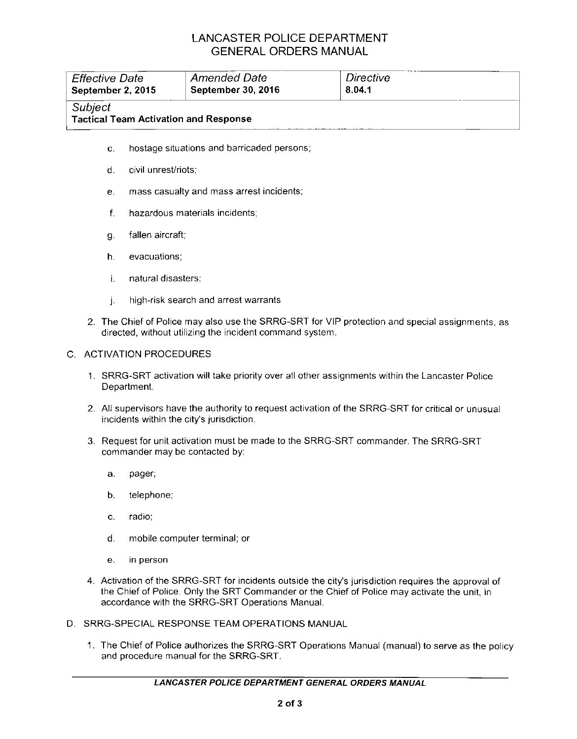# LANCASTER POLICE DEPARTMENT GENERAL ORDERS MANUAL

| <b>Effective Date</b><br>September 2, 2015 |                                          | <b>Amended Date</b><br>September 30, 2016    | Directive<br>8.04.1 |  |  |
|--------------------------------------------|------------------------------------------|----------------------------------------------|---------------------|--|--|
| Subject                                    |                                          | <b>Tactical Team Activation and Response</b> |                     |  |  |
| C.                                         |                                          | hostage situations and barricaded persons;   |                     |  |  |
| d.                                         | civil unrest/riots:                      |                                              |                     |  |  |
| е.                                         | mass casualty and mass arrest incidents; |                                              |                     |  |  |
|                                            |                                          |                                              |                     |  |  |

- f. hazardous materials incidents;
- g. fallen aircraft;
- h. evacuations;
- i. natural disasters;
- j. high-risk search and arrest warrants
- 2. The Chief of Police may also use the SRRG-SRT for VIP protection and special assignments, as directed, without utilizing the incident command system.

## C. ACTIVATION PROCEDURES

- 1. SRRG-SRT activation will take priority over all other assignments within the Lancaster Police Department.
- 2. All supervisors have the authority to request activation of the SRRG-SRT for critical or unusual incidents within the city's jurisdiction.
- 3. Request for unit activation must be made to the SRRG-SRT commander. The SRRG-SRT commander may be contacted by:
	- a. pager;
	- b. telephone;
	- c. radio;
	- d. mobile computer terminal; or
	- e. in person
- 4. Activation of the SRRG-SRT for incidents outside the city's jurisdiction requires the approval of the Chief of Police. Only the SRT Commander or the Chief of Police may activate the unit, in accordance with the SRRG-SRT Operations Manual.
- D. SRRG-SPECIAL RESPONSE TEAM OPERATIONS MANUAL
	- 1. The Chief of Police authorizes the SRRG-SRT Operations Manual (manual) to serve as the policy and procedure manual for the SRRG-SRT.